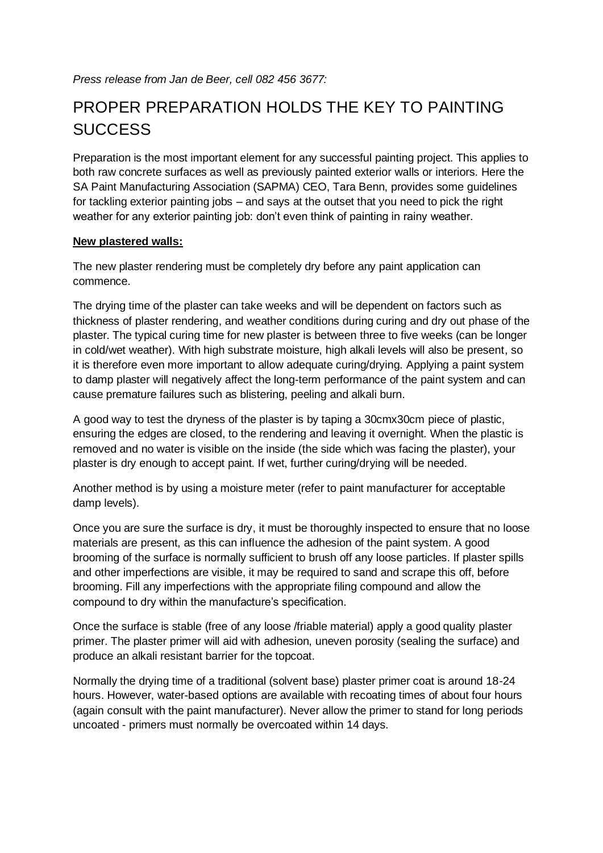## PROPER PREPARATION HOLDS THE KEY TO PAINTING **SUCCESS**

Preparation is the most important element for any successful painting project. This applies to both raw concrete surfaces as well as previously painted exterior walls or interiors. Here the SA Paint Manufacturing Association (SAPMA) CEO, Tara Benn, provides some guidelines for tackling exterior painting jobs – and says at the outset that you need to pick the right weather for any exterior painting job: don't even think of painting in rainy weather.

## **New plastered walls:**

The new plaster rendering must be completely dry before any paint application can commence.

The drying time of the plaster can take weeks and will be dependent on factors such as thickness of plaster rendering, and weather conditions during curing and dry out phase of the plaster. The typical curing time for new plaster is between three to five weeks (can be longer in cold/wet weather). With high substrate moisture, high alkali levels will also be present, so it is therefore even more important to allow adequate curing/drying. Applying a paint system to damp plaster will negatively affect the long-term performance of the paint system and can cause premature failures such as blistering, peeling and alkali burn.

A good way to test the dryness of the plaster is by taping a 30cmx30cm piece of plastic, ensuring the edges are closed, to the rendering and leaving it overnight. When the plastic is removed and no water is visible on the inside (the side which was facing the plaster), your plaster is dry enough to accept paint. If wet, further curing/drying will be needed.

Another method is by using a moisture meter (refer to paint manufacturer for acceptable damp levels).

Once you are sure the surface is dry, it must be thoroughly inspected to ensure that no loose materials are present, as this can influence the adhesion of the paint system. A good brooming of the surface is normally sufficient to brush off any loose particles. If plaster spills and other imperfections are visible, it may be required to sand and scrape this off, before brooming. Fill any imperfections with the appropriate filing compound and allow the compound to dry within the manufacture's specification.

Once the surface is stable (free of any loose /friable material) apply a good quality plaster primer. The plaster primer will aid with adhesion, uneven porosity (sealing the surface) and produce an alkali resistant barrier for the topcoat.

Normally the drying time of a traditional (solvent base) plaster primer coat is around 18-24 hours. However, water-based options are available with recoating times of about four hours (again consult with the paint manufacturer). Never allow the primer to stand for long periods uncoated - primers must normally be overcoated within 14 days.